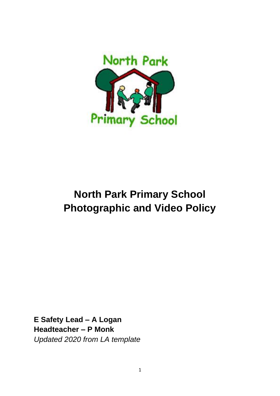

# **North Park Primary School Photographic and Video Policy**

**E Safety Lead – A Logan Headteacher – P Monk** *Updated 2020 from LA template*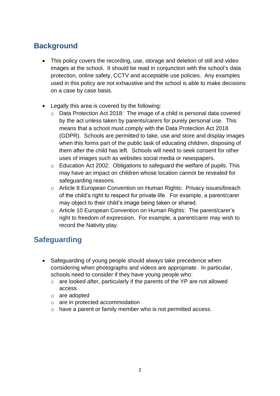### **Background**

- This policy covers the recording, use, storage and deletion of still and video images at the school. It should be read in conjunction with the school's data protection, online safety, CCTV and acceptable use policies. Any examples used in this policy are not exhaustive and the school is able to make decisions on a case by case basis.
- Legally this area is covered by the following:
	- o Data Protection Act 2018: The image of a child is personal data covered by the act unless taken by parents/carers for purely personal use. This means that a school must comply with the Data Protection Act 2018 (GDPR). Schools are permitted to take, use and store and display images when this forms part of the public task of educating children, disposing of them after the child has left. Schools will need to seek consent for other uses of images such as websites social media or newspapers.
	- o Education Act 2002: Obligations to safeguard the welfare of pupils. This may have an impact on children whose location cannot be revealed for safeguarding reasons.
	- o Article 8 European Convention on Human Rights: Privacy issues/breach of the child's right to respect for private life. For example, a parent/carer may object to their child's image being taken or shared.
	- o Article 10 European Convention on Human Rights: The parent/carer's right to freedom of expression. For example, a parent/carer may wish to record the Nativity play.

### **Safeguarding**

- Safeguarding of young people should always take precedence when considering when photographs and videos are appropriate. In particular, schools need to consider if they have young people who:
	- o are looked after, particularly if the parents of the YP are not allowed access
	- o are adopted
	- o are in protected accommodation
	- o have a parent or family member who is not permitted access.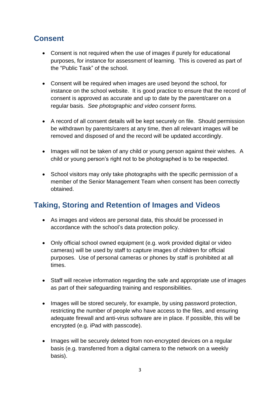# **Consent**

- Consent is not required when the use of images if purely for educational purposes, for instance for assessment of learning. This is covered as part of the "Public Task" of the school.
- Consent will be required when images are used beyond the school, for instance on the school website. It is good practice to ensure that the record of consent is approved as accurate and up to date by the parent/carer on a regular basis. *See photographic and video consent forms.*
- A record of all consent details will be kept securely on file. Should permission be withdrawn by parents/carers at any time, then all relevant images will be removed and disposed of and the record will be updated accordingly.
- Images will not be taken of any child or young person against their wishes. A child or young person's right not to be photographed is to be respected.
- School visitors may only take photographs with the specific permission of a member of the Senior Management Team when consent has been correctly obtained.

#### **Taking, Storing and Retention of Images and Videos**

- As images and videos are personal data, this should be processed in accordance with the school's data protection policy.
- Only official school owned equipment (e.g. work provided digital or video cameras) will be used by staff to capture images of children for official purposes. Use of personal cameras or phones by staff is prohibited at all times.
- Staff will receive information regarding the safe and appropriate use of images as part of their safeguarding training and responsibilities.
- Images will be stored securely, for example, by using password protection, restricting the number of people who have access to the files, and ensuring adequate firewall and anti-virus software are in place. If possible, this will be encrypted (e.g. iPad with passcode).
- Images will be securely deleted from non-encrypted devices on a regular basis (e.g. transferred from a digital camera to the network on a weekly basis).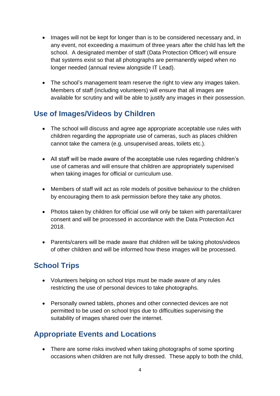- Images will not be kept for longer than is to be considered necessary and, in any event, not exceeding a maximum of three years after the child has left the school. A designated member of staff (Data Protection Officer) will ensure that systems exist so that all photographs are permanently wiped when no longer needed (annual review alongside IT Lead).
- The school's management team reserve the right to view any images taken. Members of staff (including volunteers) will ensure that all images are available for scrutiny and will be able to justify any images in their possession.

# **Use of Images/Videos by Children**

- The school will discuss and agree age appropriate acceptable use rules with children regarding the appropriate use of cameras, such as places children cannot take the camera (e.g. unsupervised areas, toilets etc.).
- All staff will be made aware of the acceptable use rules regarding children's use of cameras and will ensure that children are appropriately supervised when taking images for official or curriculum use.
- Members of staff will act as role models of positive behaviour to the children by encouraging them to ask permission before they take any photos.
- Photos taken by children for official use will only be taken with parental/carer consent and will be processed in accordance with the Data Protection Act 2018.
- Parents/carers will be made aware that children will be taking photos/videos of other children and will be informed how these images will be processed.

# **School Trips**

- Volunteers helping on school trips must be made aware of any rules restricting the use of personal devices to take photographs.
- Personally owned tablets, phones and other connected devices are not permitted to be used on school trips due to difficulties supervising the suitability of images shared over the internet.

### **Appropriate Events and Locations**

• There are some risks involved when taking photographs of some sporting occasions when children are not fully dressed. These apply to both the child,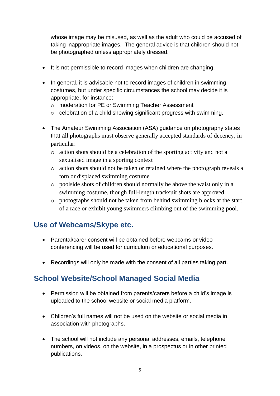whose image may be misused, as well as the adult who could be accused of taking inappropriate images. The general advice is that children should not be photographed unless appropriately dressed.

- It is not permissible to record images when children are changing.
- In general, it is advisable not to record images of children in swimming costumes, but under specific circumstances the school may decide it is appropriate, for instance:
	- o moderation for PE or Swimming Teacher Assessment
	- o celebration of a child showing significant progress with swimming.
- The Amateur Swimming Association (ASA) guidance on photography states that all photographs must observe generally accepted standards of decency, in particular:
	- o action shots should be a celebration of the sporting activity and not a sexualised image in a sporting context
	- o action shots should not be taken or retained where the photograph reveals a torn or displaced swimming costume
	- o poolside shots of children should normally be above the waist only in a swimming costume, though full-length tracksuit shots are approved
	- o photographs should not be taken from behind swimming blocks at the start of a race or exhibit young swimmers climbing out of the swimming pool.

#### **Use of Webcams/Skype etc.**

- Parental/carer consent will be obtained before webcams or video conferencing will be used for curriculum or educational purposes.
- Recordings will only be made with the consent of all parties taking part.

### **School Website/School Managed Social Media**

- Permission will be obtained from parents/carers before a child's image is uploaded to the school website or social media platform.
- Children's full names will not be used on the website or social media in association with photographs.
- The school will not include any personal addresses, emails, telephone numbers, on videos, on the website, in a prospectus or in other printed publications.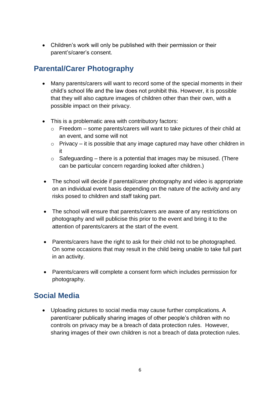• Children's work will only be published with their permission or their parent's/carer's consent.

# **Parental/Carer Photography**

- Many parents/carers will want to record some of the special moments in their child's school life and the law does not prohibit this. However, it is possible that they will also capture images of children other than their own, with a possible impact on their privacy.
- This is a problematic area with contributory factors:
	- o Freedom some parents/carers will want to take pictures of their child at an event, and some will not
	- o Privacy it is possible that any image captured may have other children in it
	- $\circ$  Safeguarding there is a potential that images may be misused. (There can be particular concern regarding looked after children.)
- The school will decide if parental/carer photography and video is appropriate on an individual event basis depending on the nature of the activity and any risks posed to children and staff taking part.
- The school will ensure that parents/carers are aware of any restrictions on photography and will publicise this prior to the event and bring it to the attention of parents/carers at the start of the event.
- Parents/carers have the right to ask for their child not to be photographed. On some occasions that may result in the child being unable to take full part in an activity.
- Parents/carers will complete a consent form which includes permission for photography.

### **Social Media**

• Uploading pictures to social media may cause further complications. A parent/carer publically sharing images of other people's children with no controls on privacy may be a breach of data protection rules. However, sharing images of their own children is not a breach of data protection rules.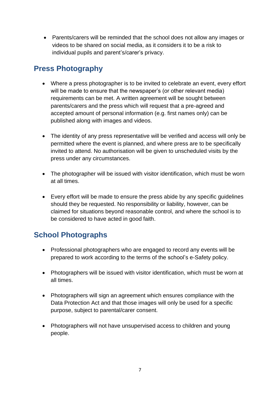• Parents/carers will be reminded that the school does not allow any images or videos to be shared on social media, as it considers it to be a risk to individual pupils and parent's/carer's privacy.

### **Press Photography**

- Where a press photographer is to be invited to celebrate an event, every effort will be made to ensure that the newspaper's (or other relevant media) requirements can be met. A written agreement will be sought between parents/carers and the press which will request that a pre-agreed and accepted amount of personal information (e.g. first names only) can be published along with images and videos.
- The identity of any press representative will be verified and access will only be permitted where the event is planned, and where press are to be specifically invited to attend. No authorisation will be given to unscheduled visits by the press under any circumstances.
- The photographer will be issued with visitor identification, which must be worn at all times.
- Every effort will be made to ensure the press abide by any specific guidelines should they be requested. No responsibility or liability, however, can be claimed for situations beyond reasonable control, and where the school is to be considered to have acted in good faith.

### **School Photographs**

- Professional photographers who are engaged to record any events will be prepared to work according to the terms of the school's e-Safety policy.
- Photographers will be issued with visitor identification, which must be worn at all times.
- Photographers will sign an agreement which ensures compliance with the Data Protection Act and that those images will only be used for a specific purpose, subject to parental/carer consent.
- Photographers will not have unsupervised access to children and young people.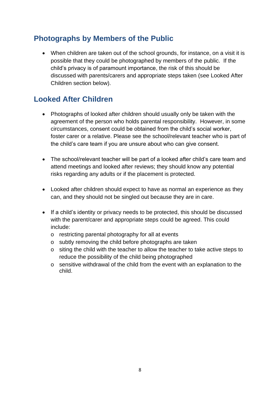#### **Photographs by Members of the Public**

• When children are taken out of the school grounds, for instance, on a visit it is possible that they could be photographed by members of the public. If the child's privacy is of paramount importance, the risk of this should be discussed with parents/carers and appropriate steps taken (see Looked After Children section below).

#### **Looked After Children**

- Photographs of looked after children should usually only be taken with the agreement of the person who holds parental responsibility. However, in some circumstances, consent could be obtained from the child's social worker, foster carer or a relative. Please see the school/relevant teacher who is part of the child's care team if you are unsure about who can give consent.
- The school/relevant teacher will be part of a looked after child's care team and attend meetings and looked after reviews; they should know any potential risks regarding any adults or if the placement is protected.
- Looked after children should expect to have as normal an experience as they can, and they should not be singled out because they are in care.
- If a child's identity or privacy needs to be protected, this should be discussed with the parent/carer and appropriate steps could be agreed. This could include:
	- o restricting parental photography for all at events
	- o subtly removing the child before photographs are taken
	- o siting the child with the teacher to allow the teacher to take active steps to reduce the possibility of the child being photographed
	- o sensitive withdrawal of the child from the event with an explanation to the child.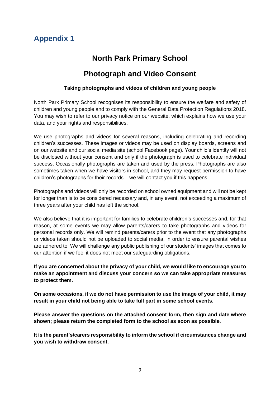# **Appendix 1**

#### **North Park Primary School**

#### **Photograph and Video Consent**

#### **Taking photographs and videos of children and young people**

North Park Primary School recognises its responsibility to ensure the welfare and safety of children and young people and to comply with the General Data Protection Regulations 2018. You may wish to refer to our privacy notice on our website, which explains how we use your data, and your rights and responsibilities.

We use photographs and videos for several reasons, including celebrating and recording children's successes. These images or videos may be used on display boards, screens and on our website and our social media site (school Facebook page). Your child's identity will not be disclosed without your consent and only if the photograph is used to celebrate individual success. Occasionally photographs are taken and used by the press. Photographs are also sometimes taken when we have visitors in school, and they may request permission to have children's photographs for their records – we will contact you if this happens.

Photographs and videos will only be recorded on school owned equipment and will not be kept for longer than is to be considered necessary and, in any event, not exceeding a maximum of three years after your child has left the school.

We also believe that it is important for families to celebrate children's successes and, for that reason, at some events we may allow parents/carers to take photographs and videos for personal records only. We will remind parents/carers prior to the event that any photographs or videos taken should not be uploaded to social media, in order to ensure parental wishes are adhered to. We will challenge any public publishing of our students' images that comes to our attention if we feel it does not meet our safeguarding obligations.

**If you are concerned about the privacy of your child, we would like to encourage you to make an appointment and discuss your concern so we can take appropriate measures to protect them.**

**On some occasions, if we do not have permission to use the image of your child, it may result in your child not being able to take full part in some school events.**

**Please answer the questions on the attached consent form, then sign and date where shown; please return the completed form to the school as soon as possible.** 

**It is the parent's/carers responsibility to inform the school if circumstances change and you wish to withdraw consent.**